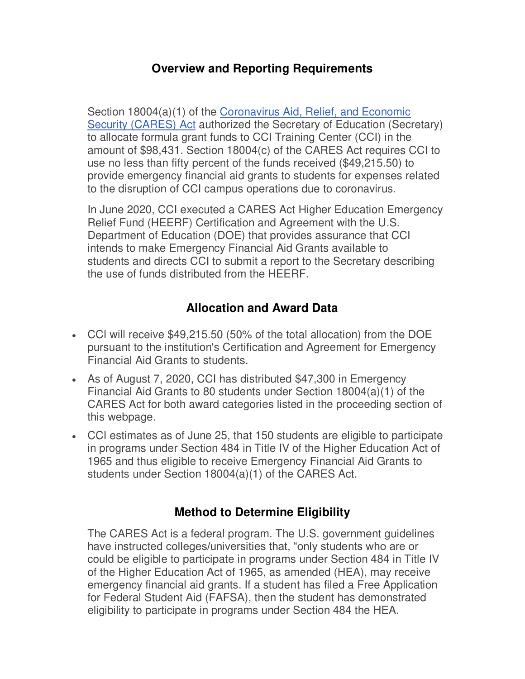## **Overview and Reporting Requirements**

Section 18004(a)(1) of the Coronavirus Aid, Relief, and Economic [Security \(CARES\) Act](https://www2.ed.gov/programs/heerf/) authorized the Secretary of Education (Secretary) to allocate formula grant funds to CCI Training Center (CCI) in the amount of \$98,431. Section 18004(c) of the CARES Act requires CCI to use no less than fifty percent of the funds received (\$49,215.50) to provide emergency financial aid grants to students for expenses related to the disruption of CCI campus operations due to coronavirus.

In June 2020, CCI executed a CARES Act Higher Education Emergency Relief Fund (HEERF) Certification and Agreement with the U.S. Department of Education (DOE) that provides assurance that CCI intends to make Emergency Financial Aid Grants available to students and directs CCI to submit a report to the Secretary describing the use of funds distributed from the HEERF.

## **Allocation and Award Data**

- CCI will receive \$49,215.50 (50% of the total allocation) from the DOE pursuant to the institution's Certification and Agreement for Emergency Financial Aid Grants to students.
- As of August 7, 2020, CCI has distributed \$47,300 in Emergency Financial Aid Grants to 80 students under Section 18004(a)(1) of the CARES Act for both award categories listed in the proceeding section of this webpage.
- CCI estimates as of June 25, that 150 students are eligible to participate in programs under Section 484 in Title IV of the Higher Education Act of 1965 and thus eligible to receive Emergency Financial Aid Grants to students under Section 18004(a)(1) of the CARES Act.

## **Method to Determine Eligibility**

The CARES Act is a federal program. The U.S. government guidelines have instructed colleges/universities that, "only students who are or could be eligible to participate in programs under Section 484 in Title IV of the Higher Education Act of 1965, as amended (HEA), may receive emergency financial aid grants. If a student has filed a Free Application for Federal Student Aid (FAFSA), then the student has demonstrated eligibility to participate in programs under Section 484 the HEA.